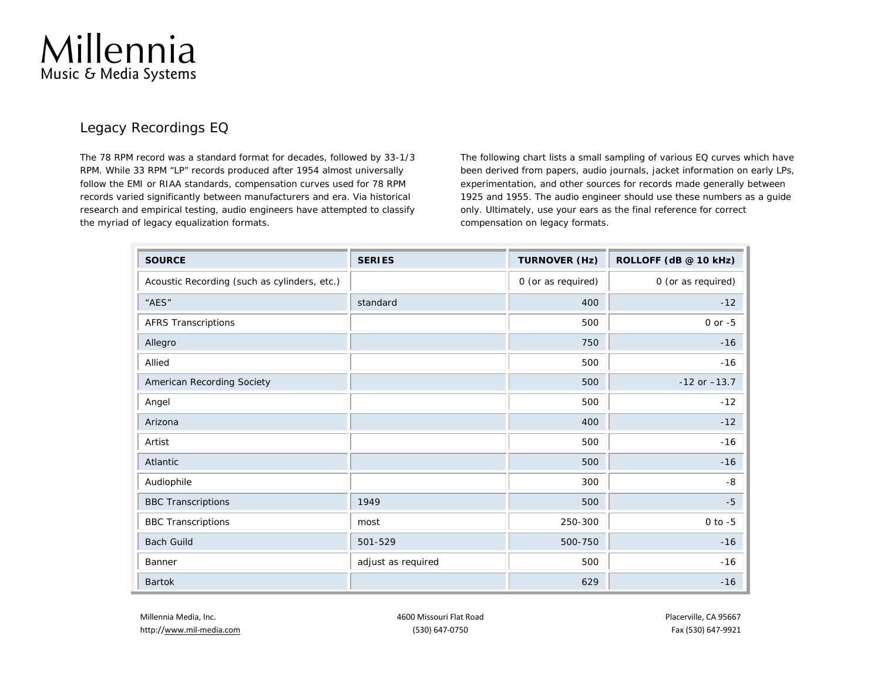

## Legacy Recordings EQ

The 78 RPM record was a standard format for decades, followed by 33-1/3 RPM. While 33 RPM "LP" records produced after 1954 almost universally follow the EMI or RIAA standards, compensation curves used for 78 RPM records varied significantly between manufacturers and era. Via historical research and empirical testing, audio engineers have attempted to classify the myriad of legacy equalization formats.

The following chart lists a small sampling of various EQ curves which have been derived from papers, audio journals, jacket information on early LPs, experimentation, and other sources for records made generally between 1925 and 1955. The audio engineer should use these numbers as a guide only. Ultimately, use your ears as the final reference for correct compensation on legacy formats.

| <b>SOURCE</b>                                | <b>SERIES</b>      | <b>TURNOVER (Hz)</b> | ROLLOFF (dB @ 10 kHz) |
|----------------------------------------------|--------------------|----------------------|-----------------------|
| Acoustic Recording (such as cylinders, etc.) |                    | 0 (or as required)   | 0 (or as required)    |
| "AES"                                        | standard           | 400                  | $-12$                 |
| <b>AFRS Transcriptions</b>                   |                    | 500                  | $0$ or $-5$           |
| Allegro                                      |                    | 750                  | $-16$                 |
| Allied                                       |                    | 500                  | $-16$                 |
| American Recording Society                   |                    | 500                  | $-12$ or $-13.7$      |
| Angel                                        |                    | 500                  | $-12$                 |
| Arizona                                      |                    | 400                  | $-12$                 |
| Artist                                       |                    | 500                  | $-16$                 |
| Atlantic                                     |                    | 500                  | $-16$                 |
| Audiophile                                   |                    | 300                  | -8                    |
| <b>BBC Transcriptions</b>                    | 1949               | 500                  | $-5$                  |
| <b>BBC Transcriptions</b>                    | most               | 250-300              | $0$ to $-5$           |
| <b>Bach Guild</b>                            | 501-529            | 500-750              | $-16$                 |
| Banner                                       | adjust as required | 500                  | $-16$                 |
| <b>Bartok</b>                                |                    | 629                  | $-16$                 |

http://<u>www.mil-media.com</u> example and the community of the community of the community of the community of the community of the community of the community of the community of the community of the community of the community

Millennia Media, Inc. 4600 Missouri Flat Road Placerville, CA 95667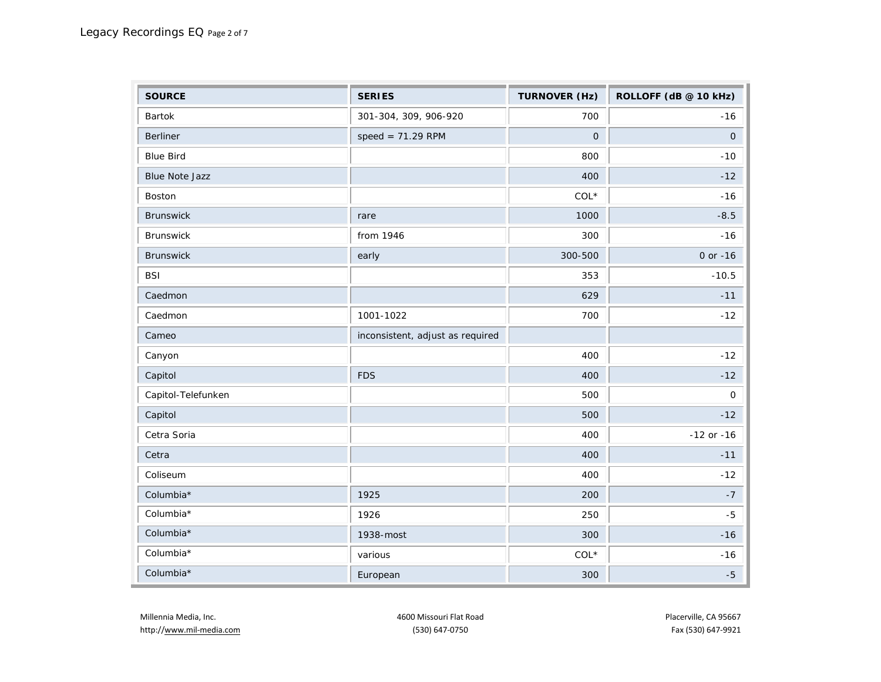| <b>SOURCE</b>         | <b>SERIES</b>                    | <b>TURNOVER (Hz)</b> | ROLLOFF (dB @ 10 kHz) |
|-----------------------|----------------------------------|----------------------|-----------------------|
| <b>Bartok</b>         | 301-304, 309, 906-920            | 700                  | $-16$                 |
| Berliner              | $speed = 71.29$ RPM              | $\mathbf{O}$         | $\mathsf{O}$          |
| <b>Blue Bird</b>      |                                  | 800                  | $-10$                 |
| <b>Blue Note Jazz</b> |                                  | 400                  | $-12$                 |
| Boston                |                                  | $COL*$               | $-16$                 |
| <b>Brunswick</b>      | rare                             | 1000                 | $-8.5$                |
| Brunswick             | from 1946                        | 300                  | $-16$                 |
| Brunswick             | early                            | 300-500              | $0$ or $-16$          |
| <b>BSI</b>            |                                  | 353                  | $-10.5$               |
| Caedmon               |                                  | 629                  | $-11$                 |
| Caedmon               | 1001-1022                        | 700                  | $-12$                 |
| Cameo                 | inconsistent, adjust as required |                      |                       |
| Canyon                |                                  | 400                  | $-12$                 |
| Capitol               | <b>FDS</b>                       | 400                  | $-12$                 |
| Capitol-Telefunken    |                                  | 500                  | 0                     |
| Capitol               |                                  | 500                  | $-12$                 |
| Cetra Soria           |                                  | 400                  | $-12$ or $-16$        |
| Cetra                 |                                  | 400                  | $-11$                 |
| Coliseum              |                                  | 400                  | $-12$                 |
| Columbia*             | 1925                             | 200                  | $-7$                  |
| Columbia*             | 1926                             | 250                  | $-5$                  |
| Columbia*             | 1938-most                        | 300                  | $-16$                 |
| Columbia*             | various                          | $COL*$               | $-16$                 |
| Columbia*             | European                         | 300                  | $-5$                  |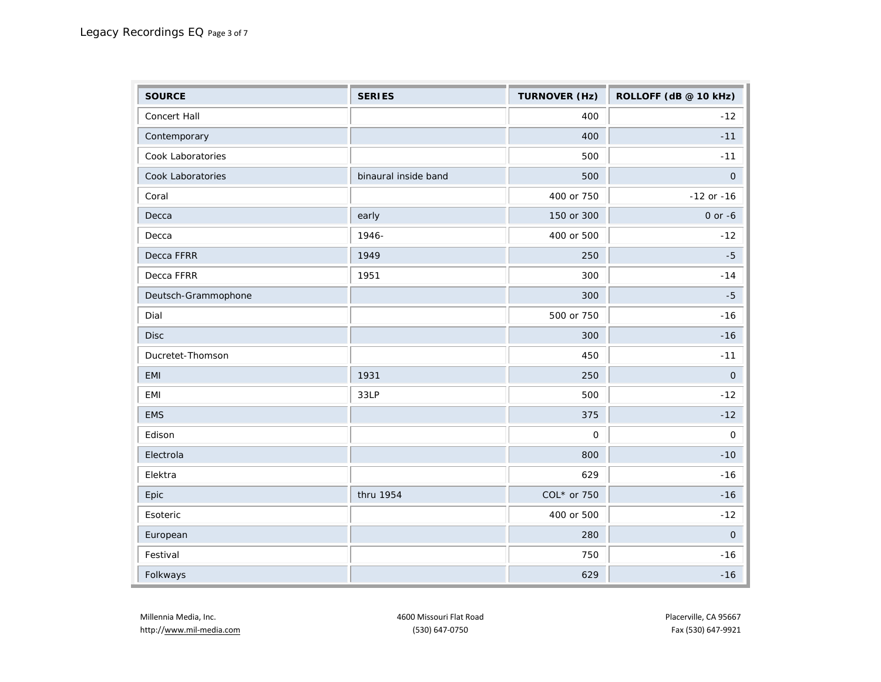| <b>SOURCE</b>       | <b>SERIES</b>        | <b>TURNOVER (Hz)</b> | ROLLOFF (dB @ 10 kHz) |
|---------------------|----------------------|----------------------|-----------------------|
| Concert Hall        |                      | 400                  | $-12$                 |
| Contemporary        |                      | 400                  | $-11$                 |
| Cook Laboratories   |                      | 500                  | $-11$                 |
| Cook Laboratories   | binaural inside band | 500                  | $\mathsf{O}$          |
| Coral               |                      | 400 or 750           | $-12$ or $-16$        |
| Decca               | early                | 150 or 300           | $0$ or $-6$           |
| Decca               | 1946-                | 400 or 500           | $-12$                 |
| Decca FFRR          | 1949                 | 250                  | $-5$                  |
| Decca FFRR          | 1951                 | 300                  | $-14$                 |
| Deutsch-Grammophone |                      | 300                  | $-5$                  |
| Dial                |                      | 500 or 750           | $-16$                 |
| <b>Disc</b>         |                      | 300                  | $-16$                 |
| Ducretet-Thomson    |                      | 450                  | $-11$                 |
| EMI                 | 1931                 | 250                  | $\overline{O}$        |
| EMI                 | 33LP                 | 500                  | $-12$                 |
| <b>EMS</b>          |                      | 375                  | $-12$                 |
| Edison              |                      | 0                    | $\mathsf O$           |
| Electrola           |                      | 800                  | $-10$                 |
| Elektra             |                      | 629                  | $-16$                 |
| Epic                | thru 1954            | COL* or 750          | $-16$                 |
| Esoteric            |                      | 400 or 500           | $-12$                 |
| European            |                      | 280                  | $\mathsf{O}\xspace$   |
| Festival            |                      | 750                  | $-16$                 |
| Folkways            |                      | 629                  | $-16$                 |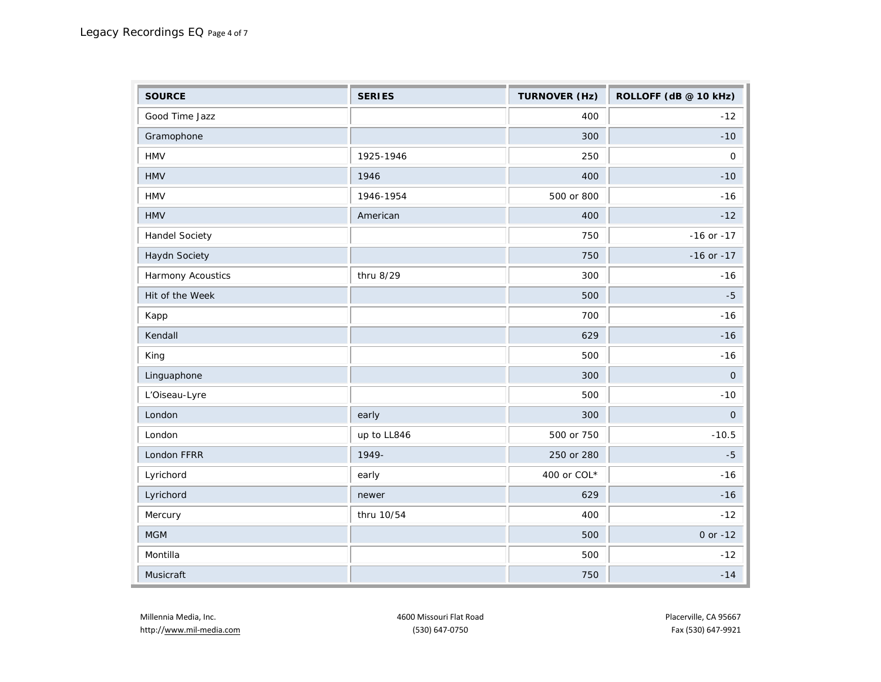| <b>SOURCE</b>         | <b>SERIES</b> | <b>TURNOVER (Hz)</b> | ROLLOFF (dB @ 10 kHz) |
|-----------------------|---------------|----------------------|-----------------------|
| Good Time Jazz        |               | 400                  | $-12$                 |
| Gramophone            |               | 300                  | $-10$                 |
| <b>HMV</b>            | 1925-1946     | 250                  | $\mathsf{O}\xspace$   |
| <b>HMV</b>            | 1946          | 400                  | $-10$                 |
| <b>HMV</b>            | 1946-1954     | 500 or 800           | $-16$                 |
| <b>HMV</b>            | American      | 400                  | $-12$                 |
| <b>Handel Society</b> |               | 750                  | $-16$ or $-17$        |
| Haydn Society         |               | 750                  | $-16$ or $-17$        |
| Harmony Acoustics     | thru 8/29     | 300                  | $-16$                 |
| Hit of the Week       |               | 500                  | $-5$                  |
| Kapp                  |               | 700                  | $-16$                 |
| Kendall               |               | 629                  | $-16$                 |
| King                  |               | 500                  | $-16$                 |
| Linguaphone           |               | 300                  | $\mathsf O$           |
| L'Oiseau-Lyre         |               | 500                  | $-10$                 |
| London                | early         | 300                  | $\mathsf{O}\xspace$   |
| London                | up to LL846   | 500 or 750           | $-10.5$               |
| London FFRR           | 1949-         | 250 or 280           | $-5$                  |
| Lyrichord             | early         | 400 or COL*          | $-16$                 |
| Lyrichord             | newer         | 629                  | $-16$                 |
| Mercury               | thru 10/54    | 400                  | $-12$                 |
| MGM                   |               | 500                  | 0 or $-12$            |
| Montilla              |               | 500                  | $-12$                 |
| Musicraft             |               | 750                  | $-14$                 |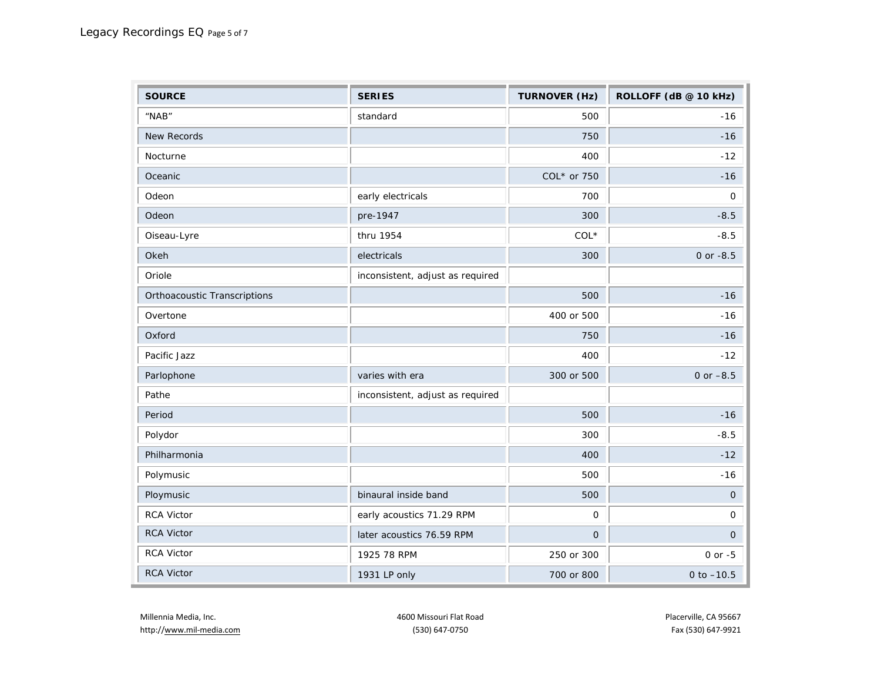| <b>SOURCE</b>                | <b>SERIES</b>                    | <b>TURNOVER (Hz)</b> | ROLLOFF (dB @ 10 kHz) |
|------------------------------|----------------------------------|----------------------|-----------------------|
| "NAB"                        | standard                         | 500                  | $-16$                 |
| <b>New Records</b>           |                                  | 750                  | $-16$                 |
| Nocturne                     |                                  | 400                  | $-12$                 |
| Oceanic                      |                                  | COL* or 750          | $-16$                 |
| Odeon                        | early electricals                | 700                  | 0                     |
| Odeon                        | pre-1947                         | 300                  | $-8.5$                |
| Oiseau-Lyre                  | thru 1954                        | $COL*$               | $-8.5$                |
| Okeh                         | electricals                      | 300                  | 0 or -8.5             |
| Oriole                       | inconsistent, adjust as required |                      |                       |
| Orthoacoustic Transcriptions |                                  | 500                  | $-16$                 |
| Overtone                     |                                  | 400 or 500           | $-16$                 |
| Oxford                       |                                  | 750                  | $-16$                 |
| Pacific Jazz                 |                                  | 400                  | $-12$                 |
| Parlophone                   | varies with era                  | 300 or 500           | 0 or $-8.5$           |
| Pathe                        | inconsistent, adjust as required |                      |                       |
| Period                       |                                  | 500                  | $-16$                 |
| Polydor                      |                                  | 300                  | $-8.5$                |
| Philharmonia                 |                                  | 400                  | $-12$                 |
| Polymusic                    |                                  | 500                  | $-16$                 |
| Ploymusic                    | binaural inside band             | 500                  | $\mathbf 0$           |
| RCA Victor                   | early acoustics 71.29 RPM        | $\mathbf 0$          | 0                     |
| <b>RCA Victor</b>            | later acoustics 76.59 RPM        | $\mathbf 0$          | $\mathsf{O}$          |
| <b>RCA Victor</b>            | 1925 78 RPM                      | 250 or 300           | $0$ or $-5$           |
| <b>RCA Victor</b>            | 1931 LP only                     | 700 or 800           | 0 to $-10.5$          |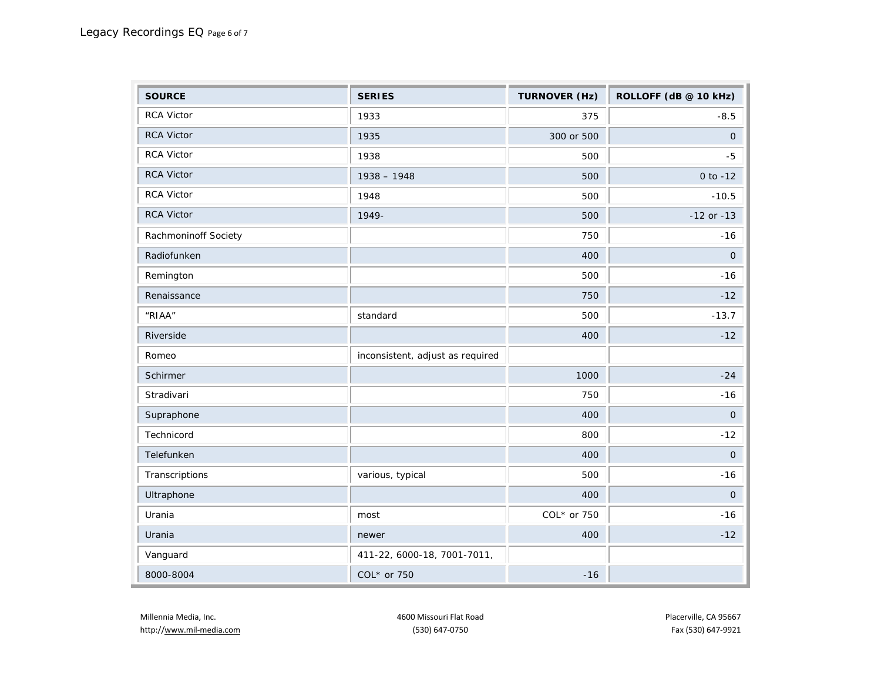| <b>SOURCE</b>        | <b>SERIES</b>                    | <b>TURNOVER (Hz)</b> | ROLLOFF (dB @ 10 kHz) |
|----------------------|----------------------------------|----------------------|-----------------------|
| <b>RCA Victor</b>    | 1933                             | 375                  | $-8.5$                |
| RCA Victor           | 1935                             | 300 or 500           | $\overline{O}$        |
| <b>RCA Victor</b>    | 1938                             | 500                  | $-5$                  |
| <b>RCA Victor</b>    | $1938 - 1948$                    | 500                  | 0 to $-12$            |
| <b>RCA Victor</b>    | 1948                             | 500                  | $-10.5$               |
| RCA Victor           | 1949-                            | 500                  | $-12$ or $-13$        |
| Rachmoninoff Society |                                  | 750                  | $-16$                 |
| Radiofunken          |                                  | 400                  | $\overline{O}$        |
| Remington            |                                  | 500                  | $-16$                 |
| Renaissance          |                                  | 750                  | $-12$                 |
| "RIAA"               | standard                         | 500                  | $-13.7$               |
| Riverside            |                                  | 400                  | $-12$                 |
| Romeo                | inconsistent, adjust as required |                      |                       |
| Schirmer             |                                  | 1000                 | $-24$                 |
| Stradivari           |                                  | 750                  | $-16$                 |
| Supraphone           |                                  | 400                  | $\mathsf O$           |
| Technicord           |                                  | 800                  | $-12$                 |
| Telefunken           |                                  | 400                  | $\mathsf O$           |
| Transcriptions       | various, typical                 | 500                  | $-16$                 |
| Ultraphone           |                                  | 400                  | $\mathsf O$           |
| Urania               | most                             | COL* or 750          | $-16$                 |
| Urania               | newer                            | 400                  | $-12$                 |
| Vanguard             | 411-22, 6000-18, 7001-7011,      |                      |                       |
| 8000-8004            | COL* or 750                      | $-16$                |                       |